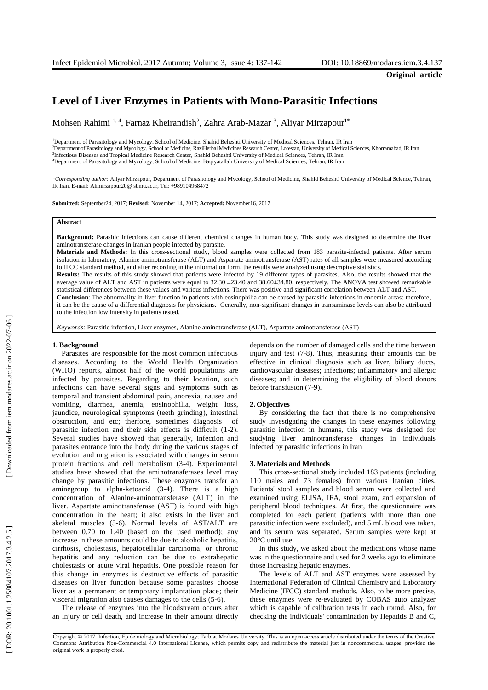**Original article**

# **Level of Liver Enzymes in Patients with Mono - Parasitic Infections**

Mohsen Rahimi <sup>1, 4</sup>, Farnaz Kheirandish<sup>2</sup>, Zahra Arab-Mazar <sup>3</sup>, Aliyar Mirzapour<sup>1\*</sup>

<sup>1</sup>Department of Parasitology and Mycology, School of Medicine, Shahid Beheshti University of Medical Sciences, Tehran, IR Iran <sup>2</sup>Department of Parasitology and Mycology, School of Medicine, RaziHerbal Medicines Research Center, Lorestan, University of Medical Sciences, Khorramabad, IR Iran<br><sup>3</sup>Infectious Diseases and Tropical Medicine Research Cen <sup>4</sup>Department of Parasitology and Mycology, School of Medicine, Baqiyatallah University of Medical Sciences, Tehran, IR Iran

*\*Corresponding author:* Aliyar Mirzapour, Department of Parasitology and Mycology, School of Medicine, Shahid Beheshti University of Medical Science, Tehran, IR Iran, E -mail[: Alimirzapour20@](mailto:Alimirzapour20@yahoo.com) sbmu.ac.ir, Tel: +989104968472

**Submitted:** September24, 2017; **Revised:** November 14, 2017; **Accepted:** November16, 2017

## **Abstract**

Background: Parasitic infections can cause different chemical changes in human body. This study was designed to determine the liver aminotransferase changes in Iranian people infected by parasite .

Materials and Methods: In this cross-sectional study, blood samples were collected from 183 parasite-infected patients. After serum isolation in laboratory, Alanine aminotransferase (ALT) and Aspartate aminotransferase (AST) rate s of all samples were measured according to IFCC standard method, and after recording in the information form, the results were analyzed using descriptive statistics.

**Results:** The results of this study showed that patients were infected by 19 different types of parasites. Also, the results showed that the average value of ALT and AST in patients were equal to  $32.30 \pm 23.40$  and  $38.60 \pm 34.80$ , respectively. The ANOVA test showed remarkable statistical differences between these values and various infections. There was positive and significant correlation between ALT and AST. **Conclusion**: The abnormality in liver function in patients with eosinophilia can be caused by parasitic infections in endemic areas; therefore,

it can be the cause of a differential diagnosis for physicians. Generally, non -significant changes in transaminase levels can also be attributed to the infection low intensity in patients tested.

*Keywords:* Parasitic infection, Liver enzymes, Alanine aminotransferase (ALT ), Aspartate aminotransferase (AST)

#### **1 . Background**

Parasites are responsible for the most common infectious disease s. According to the World Health Organization (WHO) reports, almost half of the world populations are infected by parasite s. Regarding to their location, such infections can have several signs and symptoms such as temporal and transient abdominal pain, anorexia, nausea and vomiting, diarrhea, anemia, eosinophilia, weight loss, jaundice, neurological symptoms (teeth grinding), intestinal obstruction , and etc ; therfore, sometimes diagnosis of parasitic infection and their side effects is difficult (1-2). Several studies have showed that generally , infection and parasites entrance into the body during the various stages of evolution and migration is associated with changes in serum protein fractions and cell metabolism (3 -4) . Experimental studies have showed that the aminotransferase s level may change by parasitic infections. These enzymes transfer an aminegroup to alpha -ketoacid (3 -4). There is a high concentration of Alanine -aminotransferase (ALT) in the liver. Aspartate aminotransferase (AST) is found with high concentration in the heart ; it also exists in the liver and skeletal muscle s (5 -6). Normal levels of AST/ALT are between 0.70 to 1.40 (based on the used method); any increase in these amounts could be due to alcoholic hepatitis, cirrhosis, cholestasis, hepatocellular carcinoma , or chronic hepatitis and any reduction can be due to extrahepatic cholestasis or acute viral hepatitis. One possible reason for this change in enzymes is destructive effects of parasitic disease s on liver function because some parasites choose liver as a permanent or temporary implantation place ; their visceral migration also causes damages to the cells (5 -6).

The release of enzymes into the bloodstream occurs after an injury or cell death , and increase in their amount directly

depend s on the number of damaged cells and the time between injury and test (7 -8). Thus, measuring their amounts can be effective in clinical diagnosis such as liver , biliary ducts , cardiovascular diseases ; infections ; inflammatory and allergic diseases ; and in determining the eligibility of blood donors before transfusion (7 -9).

#### **2 . Objective s**

By considering the fact that there is no comprehensive study investigating the changes in these enzymes following parasitic infection in humans, this study was designed for studying liver aminotransferase changes in individuals infected by parasitic infections in Iran

#### **3. Materials and Methods**

This cross -sectional study included 183 patients (including 110 males and 73 females) from various Iranian cities. Patients' stool samples and blood serum were collected and examined using ELISA, IFA, stool exam, and expansion of peripheral blood techniques . At first, the questionnaire was completed for each patient (patients with more than one parasitic infection were excluded) , and 5 m L blood was taken , and its serum was separated . Serum samples were kept at 20°C until use.

In this study , we asked about the medications whose name was in the questionnaire and used for 2 weeks ago to eliminate those increasing hepatic enzymes.

The levels of ALT and AST enzymes were assessed by International Federation of Clinical Chemistry and Laboratory Medicine (IFCC ) standard methods. Also , to be more precise, these enzymes were re -evaluated by COBAS auto analyzer which is capable of calibration tests in each round. Also , for checking the individuals' contamination by Hepatitis B and C ,

Copyright © 2017, Infection, Epidemiology and Microbiology; Tarbiat Modares University. This is an open access article distributed under the terms of the Creative Commons Attribution Non -Commercial 4.0 International License, which permits copy and redistribute the material just in noncommercial usages, provided the original work is properly cited .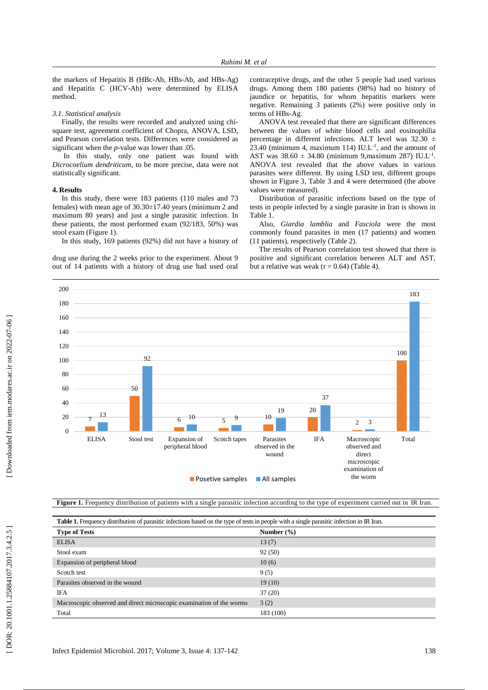the markers of Hepatitis B (HBc -Ab, HBs -Ab, and HBs -Ag) and Hepatitis C (HCV -Ab) were determined by ELISA method .

#### *3.1. Statistical analysis*

Finally, the results were recorded and analyzed using chisquare test, agreement coefficient of Chopr a, ANOVA, LSD, and Pearson correlation test s. Differences were considered as significant when the *p* -value was lower than .05.

In this study, only one patient was found with *Dicrocoelium dendriticum* , to be more precise, data were not statistically significant.

#### **4. Results**

In this study, there were 183 patients (110 males and 73 females) with mean age of 30.30 ±17.40 years (minimum 2 and maximum 80 years) and just a single parasitic infection. In these patients , the most performed exam (92 /183, 50%) was stool exam (Figure 1).

In this study, 169 patients (92%) did not have a history of

drug use during the 2 weeks prior to the experiment. About 9 out of 14 patients with a history of drug use had used oral contraceptive drugs, and the other 5 people had used various drugs. Among them 180 patients (98%) had no history of jaundice or hepatitis, for whom hepatitis markers were negative. Remaining 3 patients (2%) were positive only in terms of HBs -Ag.

ANOVA test revealed that there are significant differences between the values of white blood cells and eosinophilia percentage in different infections. ALT level was 32.30  $\pm$  $23.40$  (minimum 4, maximum 114) IU.L<sup>-1</sup>, and the amount of AST was  $38.60 \pm 34.80$  (minimum 9, maximum 287) IU.L<sup>-1</sup>. ANOVA test revealed that the above values in various parasites were different. By using LSD test, different groups shown in Figure 3, Table 3 and 4 were determined (the above values were measured).

Distribution of parasitic infections based on the type of tests in people infected by a single parasite in Iran is shown in Table 1.

Also, *Giardia lamblia* and *Fasciola* were the most commonly found parasites in men (17 patients) and women (11 patients), respectively (Table 2).

The results of Pearson correlation test showed that there is positive and significant correlation between ALT and AST, but a relative was weak ( $r = 0.64$ ) (Table 4).



| ZU<br>$\Omega$                                                                                                                                    | 10<br>9<br>6<br>$\overline{\phantom{0}}$                             | 10                                    |            | 3<br>$\mathfrak{2}$                                                    |       |
|---------------------------------------------------------------------------------------------------------------------------------------------------|----------------------------------------------------------------------|---------------------------------------|------------|------------------------------------------------------------------------|-------|
| <b>ELISA</b><br>Stool test                                                                                                                        | Expansion of<br>Scotch tapes<br>peripheral blood                     | Parasites<br>observed in the<br>wound | <b>IFA</b> | Macroscopic<br>observed and<br>direct<br>microscopic<br>examination of | Total |
|                                                                                                                                                   | <b>Posetive samples</b>                                              | All samples                           |            | the worm                                                               |       |
|                                                                                                                                                   |                                                                      |                                       |            |                                                                        |       |
| <b>Figure 1.</b> Frequency distribution of patients with a single parasitic infection according to the type of experiment carried out in IR Iran. |                                                                      |                                       |            |                                                                        |       |
|                                                                                                                                                   |                                                                      |                                       |            |                                                                        |       |
| Table 1. Frequency distribution of parasitic infections based on the type of tests in people with a single parasitic infection in IR Iran.        |                                                                      |                                       |            |                                                                        |       |
| <b>Type of Tests</b>                                                                                                                              |                                                                      | Number $(\% )$                        |            |                                                                        |       |
| <b>ELISA</b>                                                                                                                                      |                                                                      | 13(7)                                 |            |                                                                        |       |
| Stool exam                                                                                                                                        |                                                                      | 92(50)                                |            |                                                                        |       |
| Expansion of peripheral blood                                                                                                                     |                                                                      | 10(6)                                 |            |                                                                        |       |
| Scotch test                                                                                                                                       |                                                                      | 9(5)                                  |            |                                                                        |       |
| Parasites observed in the wound                                                                                                                   |                                                                      | 19(10)                                |            |                                                                        |       |
| <b>IFA</b>                                                                                                                                        |                                                                      | 37(20)                                |            |                                                                        |       |
|                                                                                                                                                   |                                                                      |                                       |            |                                                                        |       |
|                                                                                                                                                   | Macroscopic observed and direct microscopic examination of the worms | 3(2)                                  |            |                                                                        |       |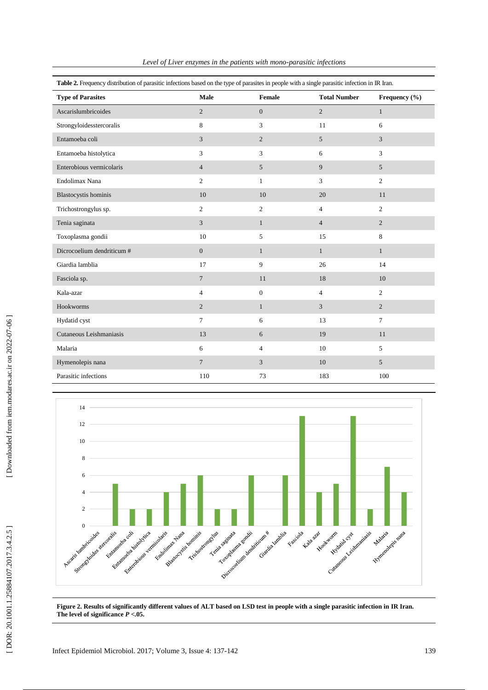| Table 2. Frequency distribution of parasitic infections based on the type of parasites in people with a single parasitic infection in IR Iran. |                |                |                     |                |  |  |  |  |
|------------------------------------------------------------------------------------------------------------------------------------------------|----------------|----------------|---------------------|----------------|--|--|--|--|
| <b>Type of Parasites</b>                                                                                                                       | Male           | Female         | <b>Total Number</b> | Frequency (%)  |  |  |  |  |
| Ascarislumbricoides                                                                                                                            | $\overline{2}$ | $\mathbf{0}$   | $\overline{2}$      | $\mathbf{1}$   |  |  |  |  |
| Strongyloidesstercoralis                                                                                                                       | 8              | 3              | 11                  | 6              |  |  |  |  |
| Entamoeba coli                                                                                                                                 | 3              | 2              | 5                   | 3              |  |  |  |  |
| Entamoeba histolytica                                                                                                                          | 3              | 3              | 6                   | 3              |  |  |  |  |
| Enterobious vermicolaris                                                                                                                       | $\overline{4}$ | 5              | 9                   | 5              |  |  |  |  |
| Endolimax Nana                                                                                                                                 | $\overline{c}$ | $\mathbf{1}$   | 3                   | $\overline{c}$ |  |  |  |  |
| Blastocystis hominis                                                                                                                           | 10             | 10             | 20                  | 11             |  |  |  |  |
| Trichostrongylus sp.                                                                                                                           | $\overline{c}$ | $\overline{c}$ | $\overline{4}$      | $\overline{c}$ |  |  |  |  |
| Tenia saginata                                                                                                                                 | 3              | $\mathbf{1}$   | $\overline{4}$      | $\overline{2}$ |  |  |  |  |
| Toxoplasma gondii                                                                                                                              | 10             | 5              | 15                  | 8              |  |  |  |  |
| Dicrocoelium dendriticum #                                                                                                                     | $\mathbf{0}$   | $\mathbf{1}$   | $\mathbf{1}$        | $\mathbf{1}$   |  |  |  |  |
| Giardia lamblia                                                                                                                                | 17             | 9              | 26                  | 14             |  |  |  |  |
| Fasciola sp.                                                                                                                                   | $\overline{7}$ | 11             | 18                  | 10             |  |  |  |  |
| Kala-azar                                                                                                                                      | $\overline{4}$ | $\mathbf{0}$   | $\overline{4}$      | $\overline{c}$ |  |  |  |  |
| Hookworms                                                                                                                                      | $\overline{2}$ | $\mathbf{1}$   | 3                   | $\overline{2}$ |  |  |  |  |
| Hydatid cyst                                                                                                                                   | $\overline{7}$ | 6              | 13                  | $\overline{7}$ |  |  |  |  |
| Cutaneous Leishmaniasis                                                                                                                        | 13             | 6              | 19                  | 11             |  |  |  |  |
| Malaria                                                                                                                                        | 6              | $\overline{4}$ | 10                  | 5              |  |  |  |  |
| Hymenolepis nana                                                                                                                               | $\overline{7}$ | 3              | 10                  | 5              |  |  |  |  |
| Parasitic infections                                                                                                                           | 110            | 73             | 183                 | 100            |  |  |  |  |





**Figure 2 . Results of significantly different values of ALT based on LSD test in people with a single parasitic infection in IR Iran . The level of significance**  *P* **<.05 .**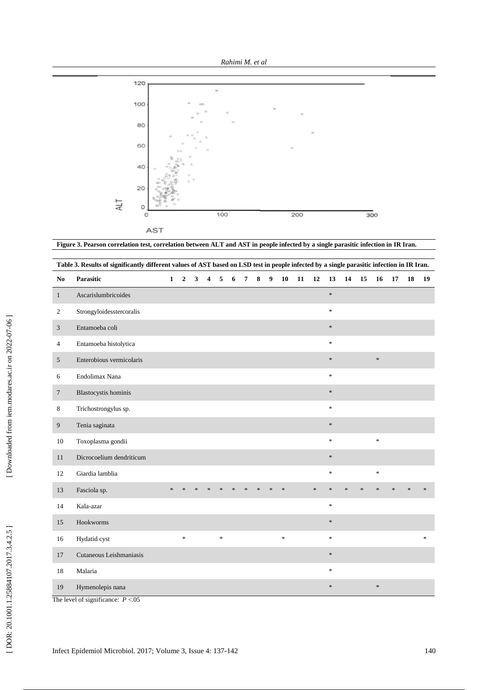



**Figure 3 . Pearson correlation test, correlation between ALT and AST in people infected by a single parasitic infection in IR Iran.**

|                | Table 3. Results of significantly different values of AST based on LSD test in people infected by a single parasitic infection in IR Iran. |              |                         |   |                         |        |   |                |        |                  |        |    |        |         |        |        |        |               |               |               |
|----------------|--------------------------------------------------------------------------------------------------------------------------------------------|--------------|-------------------------|---|-------------------------|--------|---|----------------|--------|------------------|--------|----|--------|---------|--------|--------|--------|---------------|---------------|---------------|
| No             | Parasitic                                                                                                                                  | $\mathbf{1}$ | $\overline{\mathbf{c}}$ | 3 | $\overline{\mathbf{4}}$ | 5      | 6 | $\overline{7}$ | 8      | $\boldsymbol{9}$ | 10     | 11 | 12     | 13      | 14     | 15     | 16     | 17            | 18            | 19            |
| $\mathbf{1}$   | Ascarislumbricoides                                                                                                                        |              |                         |   |                         |        |   |                |        |                  |        |    |        | $\ast$  |        |        |        |               |               |               |
| 2              | Strongyloidesstercoralis                                                                                                                   |              |                         |   |                         |        |   |                |        |                  |        |    |        | $\ast$  |        |        |        |               |               |               |
| $\mathfrak{Z}$ | Entamoeba coli                                                                                                                             |              |                         |   |                         |        |   |                |        |                  |        |    |        | $\ast$  |        |        |        |               |               |               |
| 4              | Entamoeba histolytica                                                                                                                      |              |                         |   |                         |        |   |                |        |                  |        |    |        | $\star$ |        |        |        |               |               |               |
| $\sqrt{5}$     | Enterobious vermicolaris                                                                                                                   |              |                         |   |                         |        |   |                |        |                  |        |    |        | $\ast$  |        |        | $\ast$ |               |               |               |
| 6              | Endolimax Nana                                                                                                                             |              |                         |   |                         |        |   |                |        |                  |        |    |        | $\ast$  |        |        |        |               |               |               |
| $\overline{7}$ | Blastocystis hominis                                                                                                                       |              |                         |   |                         |        |   |                |        |                  |        |    |        | $\ast$  |        |        |        |               |               |               |
| 8              | Trichostrongylus sp.                                                                                                                       |              |                         |   |                         |        |   |                |        |                  |        |    |        | $\ast$  |        |        |        |               |               |               |
| 9              | Tenia saginata                                                                                                                             |              |                         |   |                         |        |   |                |        |                  |        |    |        | $\ast$  |        |        |        |               |               |               |
| 10             | Toxoplasma gondii                                                                                                                          |              |                         |   |                         |        |   |                |        |                  |        |    |        | $\ast$  |        |        | ×      |               |               |               |
| 11             | Dicrocoelium dendriticum                                                                                                                   |              |                         |   |                         |        |   |                |        |                  |        |    |        | $\ast$  |        |        |        |               |               |               |
| 12             | Giardia lamblia                                                                                                                            |              |                         |   |                         |        |   |                |        |                  |        |    |        | $\ast$  |        |        | $\ast$ |               |               |               |
| 13             | Fasciola sp.                                                                                                                               | $\ast$       | $\ast$                  |   |                         | $\ast$ |   |                | $\ast$ | $\star$          | $\ast$ |    | $\ast$ | $\ast$  | $\ast$ | $\ast$ | $\ast$ | $\mathcal{A}$ | $\mathcal{R}$ | $\ast$        |
| 14             | Kala-azar                                                                                                                                  |              |                         |   |                         |        |   |                |        |                  |        |    |        | $\ast$  |        |        |        |               |               |               |
| 15             | Hookworms                                                                                                                                  |              |                         |   |                         |        |   |                |        |                  |        |    |        | $\ast$  |        |        |        |               |               |               |
| 16             | Hydatid cyst                                                                                                                               |              | $\ast$                  |   |                         | $\ast$ |   |                |        |                  | $\ast$ |    |        | $\ast$  |        |        |        |               |               | $\frac{1}{2}$ |
| 17             | Cutaneous Leishmaniasis                                                                                                                    |              |                         |   |                         |        |   |                |        |                  |        |    |        | $\ast$  |        |        |        |               |               |               |
| 18             | Malaria                                                                                                                                    |              |                         |   |                         |        |   |                |        |                  |        |    |        | $\ast$  |        |        |        |               |               |               |
| 19             | Hymenolepis nana                                                                                                                           |              |                         |   |                         |        |   |                |        |                  |        |    |        | $\ast$  |        |        | $\ast$ |               |               |               |

The level of significance: *P* <.05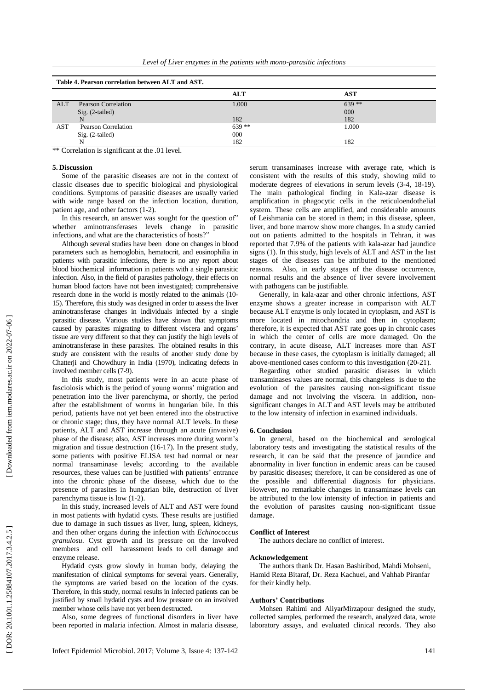|  |  |  |  | Level of Liver enzymes in the patients with mono-parasitic infections |  |
|--|--|--|--|-----------------------------------------------------------------------|--|

| Table 4. Pearson correlation between ALT and AST. |                            |         |         |  |  |  |  |
|---------------------------------------------------|----------------------------|---------|---------|--|--|--|--|
|                                                   |                            | ALT     | AST     |  |  |  |  |
| <b>ALT</b>                                        | <b>Pearson Correlation</b> | 1.000   | $639**$ |  |  |  |  |
|                                                   | $Sig. (2-tailed)$          |         | 000     |  |  |  |  |
|                                                   |                            | 182     | 182     |  |  |  |  |
| AST                                               | Pearson Correlation        | $639**$ | 1.000   |  |  |  |  |
|                                                   | $Sig. (2-tailed)$          | 000     |         |  |  |  |  |
|                                                   |                            | 182     | 182     |  |  |  |  |

\*\* Correlation is significant at the .01 level.

#### **5. Discussion**

Some of the parasitic diseases are not in the context of classic diseases due to specific biological and physiological conditions . Symptoms of parasitic diseases are usually varied with wide range based on the infection location, duration, patient age, and other factors (1-2).

In this research, an answer was sought for the question of" whether aminotransferase s levels change in parasitic infections, and what are the characteristics of hosts?"

Although several studies have been done on changes in blood parameters such as hemoglobin, hematocrit, and eosinophilia in patients with parasitic infections , there is no any report about blood biochemical information in patients with a single parasitic infection. Also , in the field of parasites pathology, their effects on human blood factors have not been investigated ; comprehensive research done in the world is mostly related to the animals (10-1 5). Therefore, this study was designed in order to assess the liver aminotransferase changes in individuals infected by a single parasitic disease. Various studies have show n that symptoms caused by parasites migrating to different viscera and organs ' tissue are very different so that they can justify the high levels of aminotransferase in these parasites. The obtained results in this study are consistent with the results of another study done by Chatterji and Chowdhury in India (1970 ) , indicating defects in involved member cells ( 7 - 9).

In this study, most patients were in an acute phase of fasciolosis which is the period of young worms' migration and penetration into the liver parenchyma , or shortly, the period after the establishment of worms in hungarian bile . In this period, patients have not yet been entered into the obstructive or chronic stage; thus, they have normal ALT levels. In these patients , ALT and AST increase through an acute (invasive) phase of the disease; also , AST increase s more during worm's migration and tissue destruction (16-17). In the present study, some patients with positive ELISA test ha d normal or near normal transaminase levels ; according to the available resources , these values can be justified with patients' entrance into the chronic phase of the disease , which due to the presence of parasites in hungarian bile, destruction of liver parenchyma tissue is low  $(1-2)$ .

In this study, increased level s of ALT and AST were found in most patients with hydatid cysts. These results are justified due to damage in such tissues as liver, lung, spleen, kidneys , and then other organs during the infection with *Echinococcus granulosu* . Cyst growth and its pressure on the involved member s and cell harassment leads to cell damage and enzyme release.

Hydatid cysts grow slowly in human body , delaying the manifestation of clinical symptoms for several years . Generally , the symptoms are varied based on the location of the cysts. Therefore, in this study, normal results in infected patients can be justified by small hydatid cysts and low pressure on an involved member whose cells have not yet been destructed .

Also , some degrees of functional disorders in liver have been reported in malaria infection. Almost in malaria disease ,

serum transaminases increase with average rate , which is consistent with the results of this study , showing mild to moderate degrees of elevations in serum levels (3-4, 18-19). The main pathological finding in Kala -azar disease is amplification in phagocytic cells in the reticuloendothelial system. These cells are amplified, and considerable amounts of Leishmania can be stored in them ; in this disease, spleen, liver , and bone marrow show more changes. In a study carried out on patients admitted to the hospitals in Tehran, it was reported that 7.9% of the patients with kala -azar ha d jaundice signs (1). In this study , high levels of ALT and AST in the last stage s of the diseases can be attributed to the mentioned reasons . Also , in early stages of the disease occurrence, normal results and the absence of liver severe involvement with pathogens can be justifiable.

Generally , in kala -azar and other chronic infections , AST enzyme show s a greater increase in comparison with ALT because ALT enzyme is only located in cytoplasm , and AST is more located in mitochondria and then in cytoplasm; therefore , it is expected that AST rate goes up in chronic cases in which th e center of cell s are more damage d . On the contrary, i n acute disease , ALT increase s more than AST because in these cases , the cytoplasm is initially damaged ; all above-mentioned cases conform to this investigation (20-21).

Regarding other studie d parasitic diseases in which transaminase s values are normal , this changeless is due to the evolution of the parasites causing non -significant tissue damage and not involving the viscera. In addition, nonsignificant changes in ALT and AST levels may be attributed to the low intensity of infection in examined individuals.

### **6. Conclusion**

In general , based on the biochemical and serological laboratory tests and investigating the statistical results of the research , it can be said that the presence of jaundice and abnormality in liver function in endemic areas can be caused by parasitic diseases; therefore, it can be considered as one of the possible and differential diagnosis for physicians. However, no remarkable changes in transaminase levels can be attributed to the low intensity of infection in patients and the evolution of parasites causing non -significant tissue damage.

# **Conflict of Interest**

The authors declare no conflict of interest.

#### **Acknowledgement**

The authors thank Dr. Hasan Bashiribod, Mahdi Mohseni, Hamid Reza Bitaraf, Dr. Reza Kachuei , and Vahhab Piranfar for their kindly help.

#### **Authors' Contributions**

Mohsen Rahimi and AliyarMirzapour designed the study, collected sampl es, performed the research, analyzed data, wrote laboratory assays, and evaluated clinical records. They also